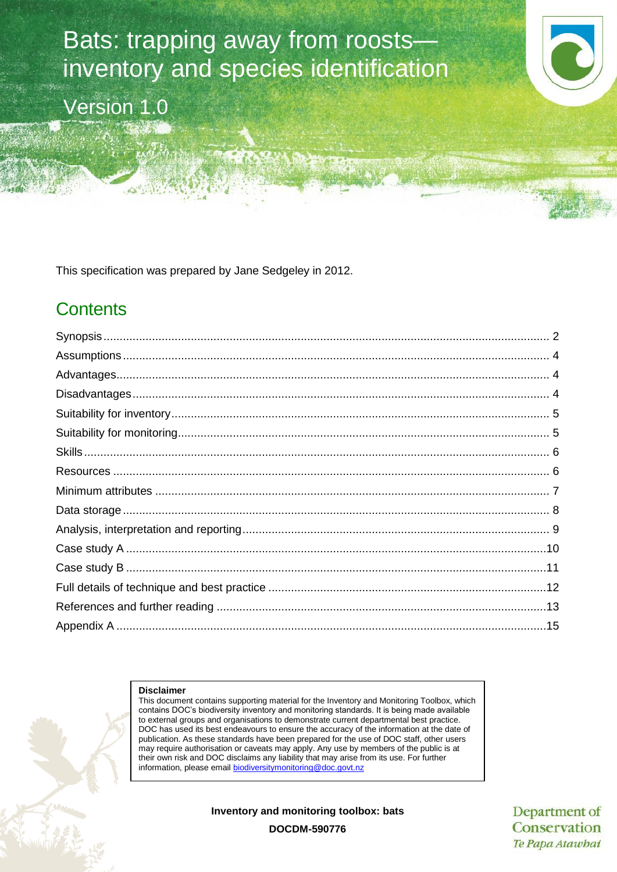# Bats: trapping away from roosts inventory and species identification

Version 1.0

This specification was prepared by Jane Sedgeley in 2012.

# **Contents**

#### **Disclaimer**

This document contains supporting material for the Inventory and Monitoring Toolbox, which contains DOC's biodiversity inventory and monitoring standards. It is being made available to external groups and organisations to demonstrate current departmental best practice. DOC has used its best endeavours to ensure the accuracy of the information at the date of publication. As these standards have been prepared for the use of DOC staff, other users may require authorisation or caveats may apply. Any use by members of the public is at their own risk and DOC disclaims any liability that may arise from its use. For further information, please email [biodiversitymonitoring@doc.govt.nz](mailto:biodiversitymonitoring@doc.govt.nz)

**Inventory and monitoring toolbox: bats**

Department of Conservation Te Papa Atawhai

**DOCDM-590776**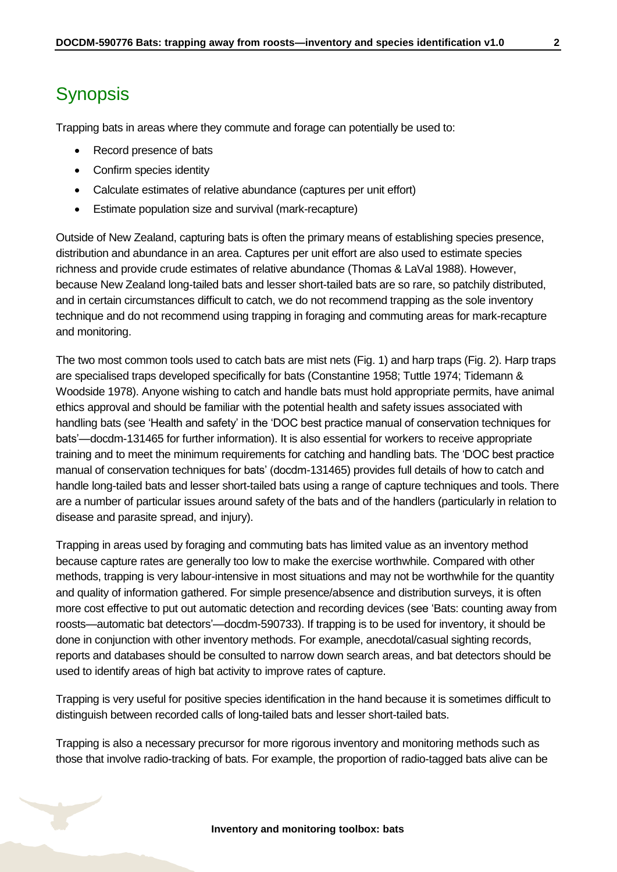# <span id="page-1-0"></span>**Synopsis**

Trapping bats in areas where they commute and forage can potentially be used to:

- Record presence of bats
- Confirm species identity
- Calculate estimates of relative abundance (captures per unit effort)
- Estimate population size and survival (mark-recapture)

Outside of New Zealand, capturing bats is often the primary means of establishing species presence, distribution and abundance in an area. Captures per unit effort are also used to estimate species richness and provide crude estimates of relative abundance (Thomas & LaVal 1988). However, because New Zealand long-tailed bats and lesser short-tailed bats are so rare, so patchily distributed, and in certain circumstances difficult to catch, we do not recommend trapping as the sole inventory technique and do not recommend using trapping in foraging and commuting areas for mark-recapture and monitoring.

The two most common tools used to catch bats are mist nets (Fig. 1) and harp traps (Fig. 2). Harp traps are specialised traps developed specifically for bats (Constantine 1958; Tuttle 1974; Tidemann & Woodside 1978). Anyone wishing to catch and handle bats must hold appropriate permits, have animal ethics approval and should be familiar with the potential health and safety issues associated with handling bats (see 'Health and safety' in the 'DOC best practice manual of conservation techniques for bats'—docdm-131465 for further information). It is also essential for workers to receive appropriate training and to meet the minimum requirements for catching and handling bats. The 'DOC best practice manual of conservation techniques for bats' (docdm-131465) provides full details of how to catch and handle long-tailed bats and lesser short-tailed bats using a range of capture techniques and tools. There are a number of particular issues around safety of the bats and of the handlers (particularly in relation to disease and parasite spread, and injury).

Trapping in areas used by foraging and commuting bats has limited value as an inventory method because capture rates are generally too low to make the exercise worthwhile. Compared with other methods, trapping is very labour-intensive in most situations and may not be worthwhile for the quantity and quality of information gathered. For simple presence/absence and distribution surveys, it is often more cost effective to put out automatic detection and recording devices (see 'Bats: counting away from roosts—automatic bat detectors'—docdm-590733). If trapping is to be used for inventory, it should be done in conjunction with other inventory methods. For example, anecdotal/casual sighting records, reports and databases should be consulted to narrow down search areas, and bat detectors should be used to identify areas of high bat activity to improve rates of capture.

Trapping is very useful for positive species identification in the hand because it is sometimes difficult to distinguish between recorded calls of long-tailed bats and lesser short-tailed bats.

Trapping is also a necessary precursor for more rigorous inventory and monitoring methods such as those that involve radio-tracking of bats. For example, the proportion of radio-tagged bats alive can be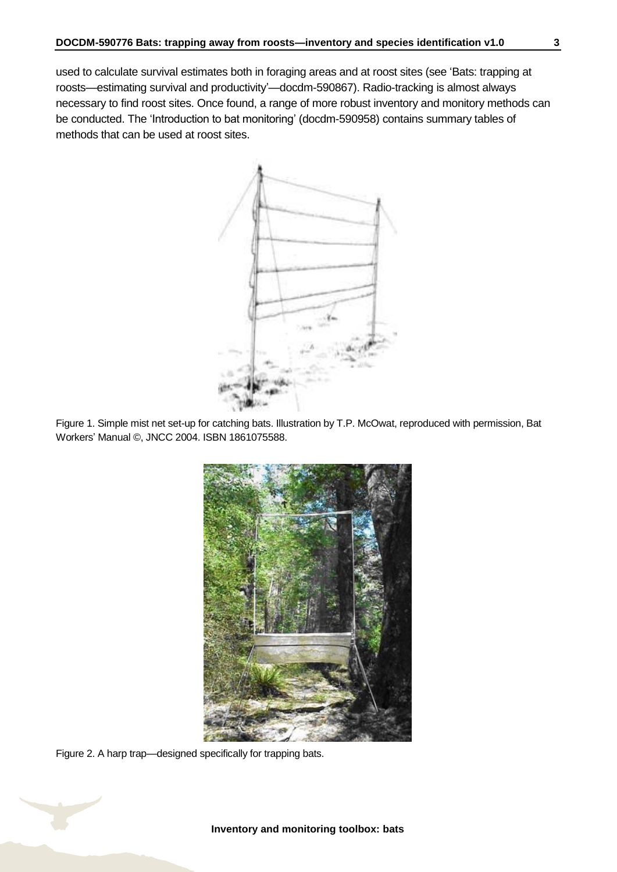used to calculate survival estimates both in foraging areas and at roost sites (see 'Bats: trapping at roosts—estimating survival and productivity'—docdm-590867). Radio-tracking is almost always necessary to find roost sites. Once found, a range of more robust inventory and monitory methods can be conducted. The 'Introduction to bat monitoring' (docdm-590958) contains summary tables of methods that can be used at roost sites.



Figure 1. Simple mist net set-up for catching bats. Illustration by T.P. McOwat, reproduced with permission, Bat Workers' Manual ©, JNCC 2004. ISBN 1861075588.



Figure 2. A harp trap—designed specifically for trapping bats.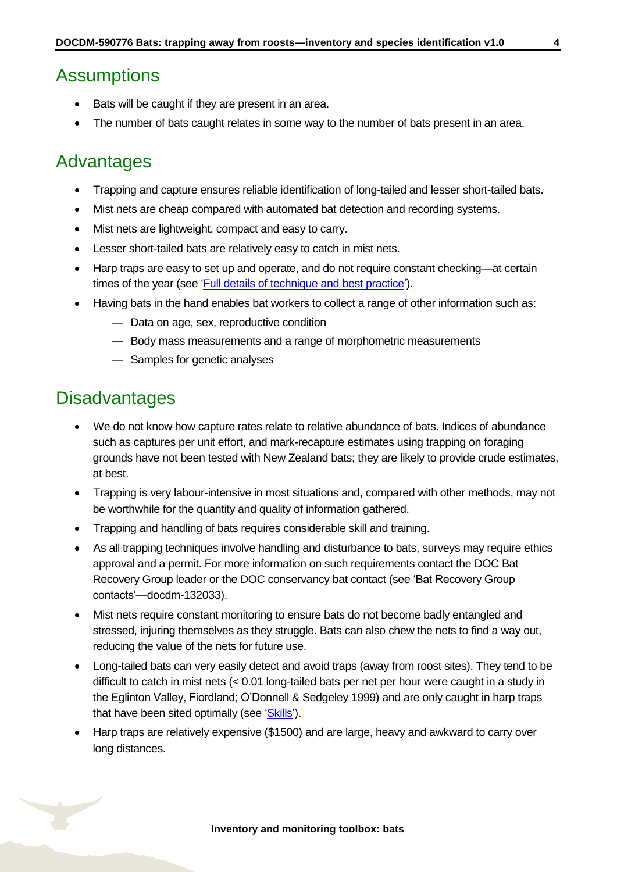### <span id="page-3-0"></span>**Assumptions**

- Bats will be caught if they are present in an area.
- The number of bats caught relates in some way to the number of bats present in an area.

### <span id="page-3-1"></span>Advantages

- Trapping and capture ensures reliable identification of long-tailed and lesser short-tailed bats.
- Mist nets are cheap compared with automated bat detection and recording systems.
- Mist nets are lightweight, compact and easy to carry.
- Lesser short-tailed bats are relatively easy to catch in mist nets.
- Harp traps are easy to set up and operate, and do not require constant checking—at certain times of the year (see ['Full details of technique and best practice'](#page-11-0)).
- Having bats in the hand enables bat workers to collect a range of other information such as:
	- Data on age, sex, reproductive condition
	- Body mass measurements and a range of morphometric measurements
	- Samples for genetic analyses

### <span id="page-3-2"></span>**Disadvantages**

- We do not know how capture rates relate to relative abundance of bats. Indices of abundance such as captures per unit effort, and mark-recapture estimates using trapping on foraging grounds have not been tested with New Zealand bats; they are likely to provide crude estimates, at best.
- Trapping is very labour-intensive in most situations and, compared with other methods, may not be worthwhile for the quantity and quality of information gathered.
- Trapping and handling of bats requires considerable skill and training.
- As all trapping techniques involve handling and disturbance to bats, surveys may require ethics approval and a permit. For more information on such requirements contact the DOC Bat Recovery Group leader or the DOC conservancy bat contact (see 'Bat Recovery Group contacts'—docdm-132033).
- Mist nets require constant monitoring to ensure bats do not become badly entangled and stressed, injuring themselves as they struggle. Bats can also chew the nets to find a way out, reducing the value of the nets for future use.
- Long-tailed bats can very easily detect and avoid traps (away from roost sites). They tend to be difficult to catch in mist nets (< 0.01 long-tailed bats per net per hour were caught in a study in the Eglinton Valley, Fiordland; O'Donnell & Sedgeley 1999) and are only caught in harp traps that have been sited optimally (see ['Skills'\)](#page-5-0).
- Harp traps are relatively expensive (\$1500) and are large, heavy and awkward to carry over long distances.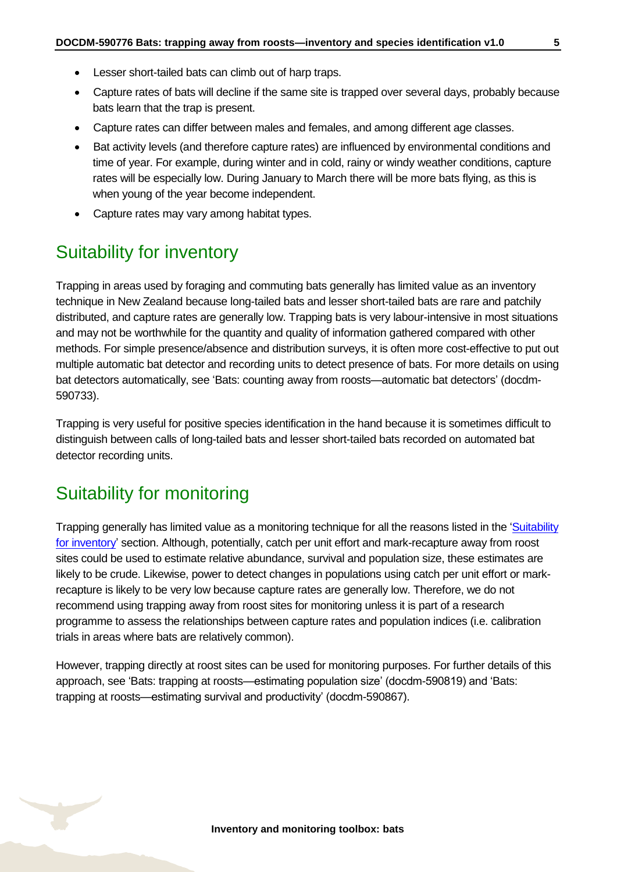- Lesser short-tailed bats can climb out of harp traps.
- Capture rates of bats will decline if the same site is trapped over several days, probably because bats learn that the trap is present.
- Capture rates can differ between males and females, and among different age classes.
- Bat activity levels (and therefore capture rates) are influenced by environmental conditions and time of year. For example, during winter and in cold, rainy or windy weather conditions, capture rates will be especially low. During January to March there will be more bats flying, as this is when young of the year become independent.
- Capture rates may vary among habitat types.

### <span id="page-4-0"></span>Suitability for inventory

Trapping in areas used by foraging and commuting bats generally has limited value as an inventory technique in New Zealand because long-tailed bats and lesser short-tailed bats are rare and patchily distributed, and capture rates are generally low. Trapping bats is very labour-intensive in most situations and may not be worthwhile for the quantity and quality of information gathered compared with other methods. For simple presence/absence and distribution surveys, it is often more cost-effective to put out multiple automatic bat detector and recording units to detect presence of bats. For more details on using bat detectors automatically, see 'Bats: counting away from roosts—automatic bat detectors' (docdm-590733).

Trapping is very useful for positive species identification in the hand because it is sometimes difficult to distinguish between calls of long-tailed bats and lesser short-tailed bats recorded on automated bat detector recording units.

### <span id="page-4-1"></span>Suitability for monitoring

Trapping generally has limited value as a monitoring technique for all the reasons listed in the ['Suitability](#page-4-0)  [for inventory'](#page-4-0) section. Although, potentially, catch per unit effort and mark-recapture away from roost sites could be used to estimate relative abundance, survival and population size, these estimates are likely to be crude. Likewise, power to detect changes in populations using catch per unit effort or markrecapture is likely to be very low because capture rates are generally low. Therefore, we do not recommend using trapping away from roost sites for monitoring unless it is part of a research programme to assess the relationships between capture rates and population indices (i.e. calibration trials in areas where bats are relatively common).

However, trapping directly at roost sites can be used for monitoring purposes. For further details of this approach, see 'Bats: trapping at roosts—estimating population size' (docdm-590819) and 'Bats: trapping at roosts—estimating survival and productivity' (docdm-590867).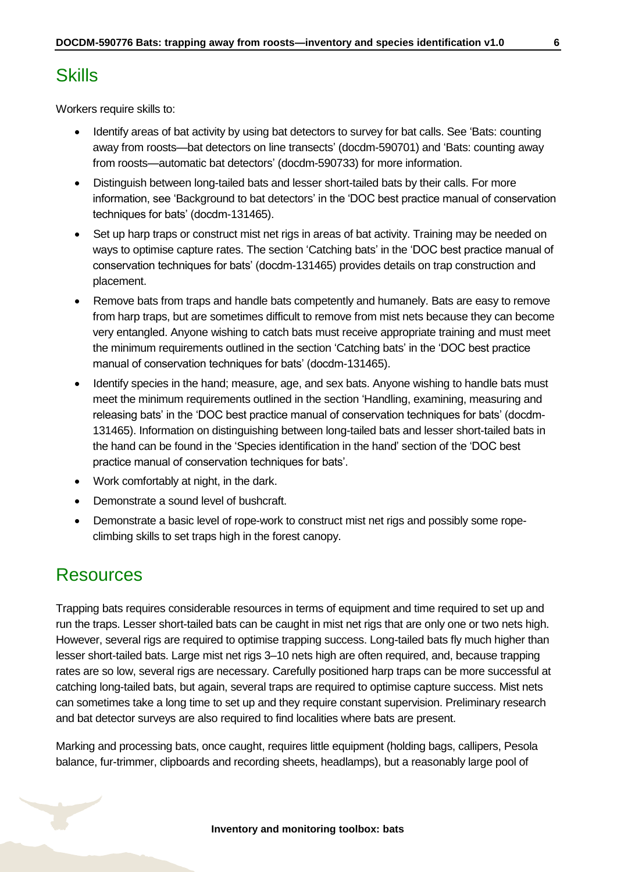<span id="page-5-0"></span>Workers require skills to:

- Identify areas of bat activity by using bat detectors to survey for bat calls. See 'Bats: counting away from roosts—bat detectors on line transects' (docdm-590701) and 'Bats: counting away from roosts—automatic bat detectors' (docdm-590733) for more information.
- Distinguish between long-tailed bats and lesser short-tailed bats by their calls. For more information, see 'Background to bat detectors' in the 'DOC best practice manual of conservation techniques for bats' (docdm-131465).
- Set up harp traps or construct mist net rigs in areas of bat activity. Training may be needed on ways to optimise capture rates. The section 'Catching bats' in the 'DOC best practice manual of conservation techniques for bats' (docdm-131465) provides details on trap construction and placement.
- Remove bats from traps and handle bats competently and humanely. Bats are easy to remove from harp traps, but are sometimes difficult to remove from mist nets because they can become very entangled. Anyone wishing to catch bats must receive appropriate training and must meet the minimum requirements outlined in the section 'Catching bats' in the 'DOC best practice manual of conservation techniques for bats' (docdm-131465).
- Identify species in the hand; measure, age, and sex bats. Anyone wishing to handle bats must meet the minimum requirements outlined in the section 'Handling, examining, measuring and releasing bats' in the 'DOC best practice manual of conservation techniques for bats' (docdm-131465). Information on distinguishing between long-tailed bats and lesser short-tailed bats in the hand can be found in the 'Species identification in the hand' section of the 'DOC best practice manual of conservation techniques for bats'.
- Work comfortably at night, in the dark.
- Demonstrate a sound level of bushcraft.
- Demonstrate a basic level of rope-work to construct mist net rigs and possibly some ropeclimbing skills to set traps high in the forest canopy.

### <span id="page-5-1"></span>Resources

Trapping bats requires considerable resources in terms of equipment and time required to set up and run the traps. Lesser short-tailed bats can be caught in mist net rigs that are only one or two nets high. However, several rigs are required to optimise trapping success. Long-tailed bats fly much higher than lesser short-tailed bats. Large mist net rigs 3–10 nets high are often required, and, because trapping rates are so low, several rigs are necessary. Carefully positioned harp traps can be more successful at catching long-tailed bats, but again, several traps are required to optimise capture success. Mist nets can sometimes take a long time to set up and they require constant supervision. Preliminary research and bat detector surveys are also required to find localities where bats are present.

Marking and processing bats, once caught, requires little equipment (holding bags, callipers, Pesola balance, fur-trimmer, clipboards and recording sheets, headlamps), but a reasonably large pool of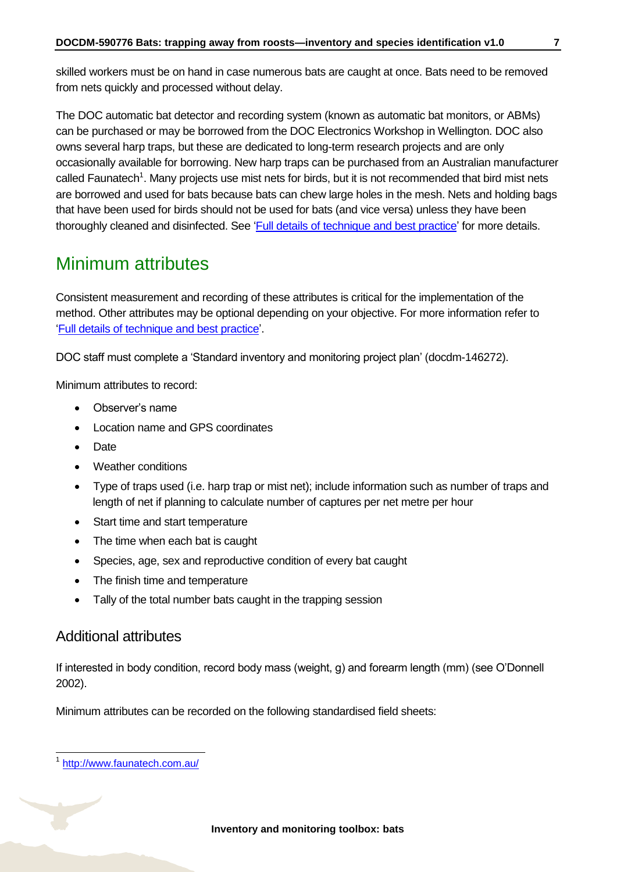skilled workers must be on hand in case numerous bats are caught at once. Bats need to be removed from nets quickly and processed without delay.

The DOC automatic bat detector and recording system (known as automatic bat monitors, or ABMs) can be purchased or may be borrowed from the DOC Electronics Workshop in Wellington. DOC also owns several harp traps, but these are dedicated to long-term research projects and are only occasionally available for borrowing. New harp traps can be purchased from an Australian manufacturer called Faunatech<sup>1</sup>. Many projects use mist nets for birds, but it is not recommended that bird mist nets are borrowed and used for bats because bats can chew large holes in the mesh. Nets and holding bags that have been used for birds should not be used for bats (and vice versa) unless they have been thoroughly cleaned and disinfected. See ['Full details of technique and best practice'](#page-11-0) for more details.

# <span id="page-6-0"></span>Minimum attributes

Consistent measurement and recording of these attributes is critical for the implementation of the method. Other attributes may be optional depending on your objective. For more information refer to ['Full details of technique and best practice'](#page-11-0).

DOC staff must complete a 'Standard inventory and monitoring project plan' (docdm-146272).

Minimum attributes to record:

- Observer's name
- Location name and GPS coordinates
- Date
- Weather conditions
- Type of traps used (i.e. harp trap or mist net); include information such as number of traps and length of net if planning to calculate number of captures per net metre per hour
- Start time and start temperature
- The time when each bat is caught
- Species, age, sex and reproductive condition of every bat caught
- The finish time and temperature
- Tally of the total number bats caught in the trapping session

### Additional attributes

If interested in body condition, record body mass (weight, g) and forearm length (mm) (see O'Donnell 2002).

Minimum attributes can be recorded on the following standardised field sheets:

<sup>-</sup>1 <http://www.faunatech.com.au/>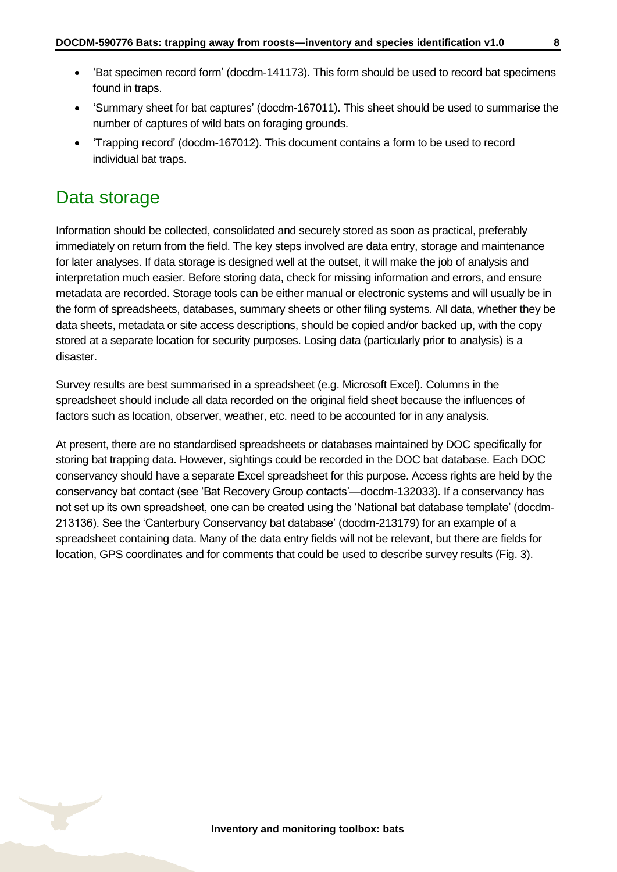- 'Bat specimen record form' (docdm-141173). This form should be used to record bat specimens found in traps.
- 'Summary sheet for bat captures' (docdm-167011). This sheet should be used to summarise the number of captures of wild bats on foraging grounds.
- 'Trapping record' (docdm-167012). This document contains a form to be used to record individual bat traps.

### <span id="page-7-0"></span>Data storage

Information should be collected, consolidated and securely stored as soon as practical, preferably immediately on return from the field. The key steps involved are data entry, storage and maintenance for later analyses. If data storage is designed well at the outset, it will make the job of analysis and interpretation much easier. Before storing data, check for missing information and errors, and ensure metadata are recorded. Storage tools can be either manual or electronic systems and will usually be in the form of spreadsheets, databases, summary sheets or other filing systems. All data, whether they be data sheets, metadata or site access descriptions, should be copied and/or backed up, with the copy stored at a separate location for security purposes. Losing data (particularly prior to analysis) is a disaster.

Survey results are best summarised in a spreadsheet (e.g. Microsoft Excel). Columns in the spreadsheet should include all data recorded on the original field sheet because the influences of factors such as location, observer, weather, etc. need to be accounted for in any analysis.

At present, there are no standardised spreadsheets or databases maintained by DOC specifically for storing bat trapping data. However, sightings could be recorded in the DOC bat database. Each DOC conservancy should have a separate Excel spreadsheet for this purpose. Access rights are held by the conservancy bat contact (see 'Bat Recovery Group contacts'—docdm-132033). If a conservancy has not set up its own spreadsheet, one can be created using the 'National bat database template' (docdm-213136). See the 'Canterbury Conservancy bat database' (docdm-213179) for an example of a spreadsheet containing data. Many of the data entry fields will not be relevant, but there are fields for location, GPS coordinates and for comments that could be used to describe survey results (Fig. 3).

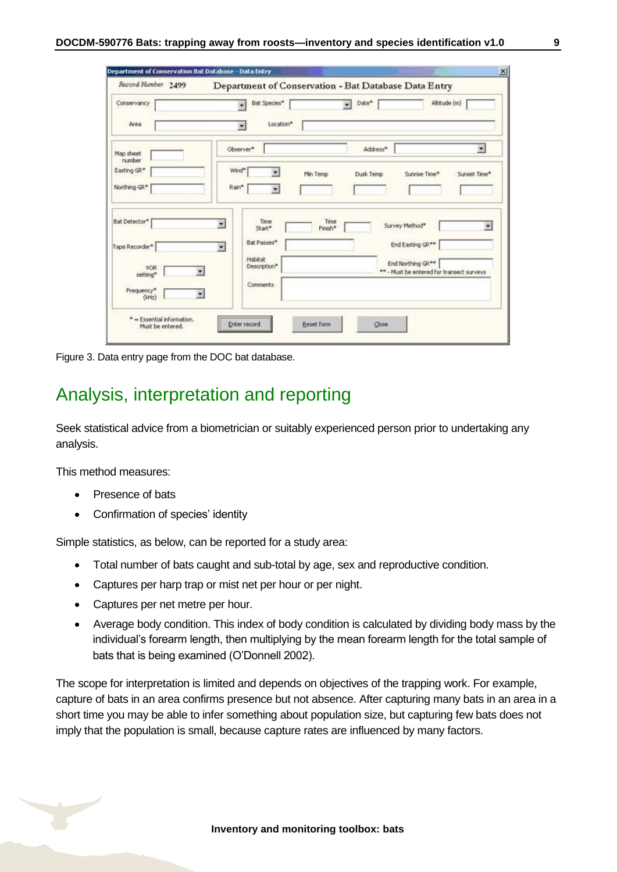| Record Number 2499          |                                            | Department of Conservation - Bat Database Data Entry |                                                                            |
|-----------------------------|--------------------------------------------|------------------------------------------------------|----------------------------------------------------------------------------|
| Conservancy                 | Bat Species*                               | Date*<br>$\overline{\mathbf{r}}$                     | Altitude (m)                                                               |
| Area                        | Location*<br>۰                             |                                                      |                                                                            |
| Map sheet<br>number         | Observer*                                  | Address*                                             | $\overline{\mathbf{z}}$                                                    |
| Easting GR*                 | Wind*                                      | Min Temp<br>Dusk Temp                                | Sunrise Time*<br>Sunset Time*                                              |
| Northing GR*                | Rain*<br>$\overline{\mathbf{v}}$           |                                                      |                                                                            |
| Bat Detector*               | Time<br>$\overline{\phantom{a}}$<br>Start* | Time<br>Finish*                                      | Survey Method*<br>×                                                        |
| Tape Recorder*              | Bat Passes*<br>$\overline{\phantom{a}}$    |                                                      | End Easting GR**                                                           |
| VOR.<br>setting*            | Habitat<br>Description*                    |                                                      | End Northing GR <sup>**</sup><br>** - Must be entered for transect surveys |
| Frequency*<br>۰<br>$(k+tz)$ | Comments                                   |                                                      |                                                                            |

Figure 3. Data entry page from the DOC bat database.

### <span id="page-8-0"></span>Analysis, interpretation and reporting

Seek statistical advice from a biometrician or suitably experienced person prior to undertaking any analysis.

This method measures:

- Presence of bats
- Confirmation of species' identity

Simple statistics, as below, can be reported for a study area:

- Total number of bats caught and sub-total by age, sex and reproductive condition.
- Captures per harp trap or mist net per hour or per night.
- Captures per net metre per hour.
- Average body condition. This index of body condition is calculated by dividing body mass by the individual's forearm length, then multiplying by the mean forearm length for the total sample of bats that is being examined (O'Donnell 2002).

The scope for interpretation is limited and depends on objectives of the trapping work. For example, capture of bats in an area confirms presence but not absence. After capturing many bats in an area in a short time you may be able to infer something about population size, but capturing few bats does not imply that the population is small, because capture rates are influenced by many factors.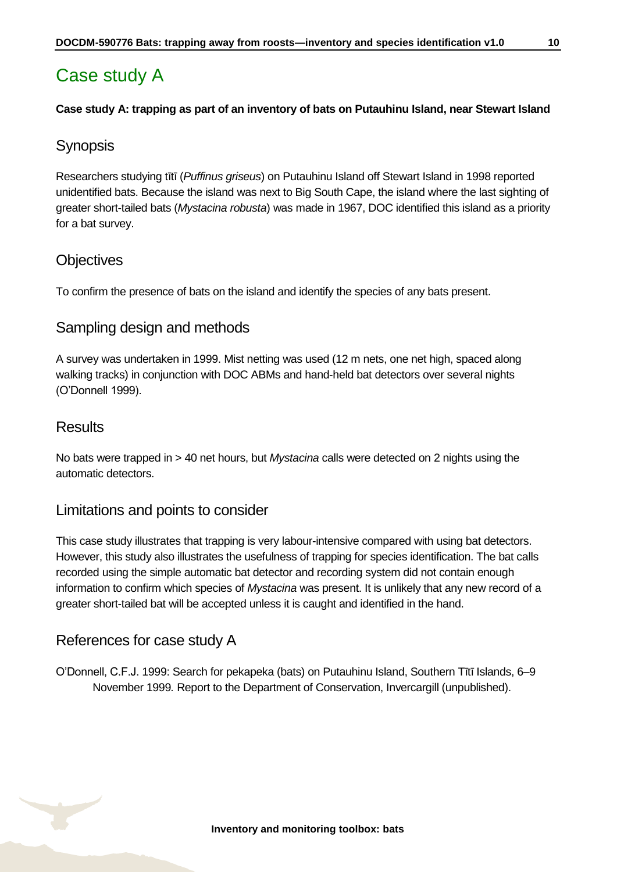### <span id="page-9-0"></span>Case study A

#### **Case study A: trapping as part of an inventory of bats on Putauhinu Island, near Stewart Island**

#### **Synopsis**

Researchers studying tītī (*Puffinus griseus*) on Putauhinu Island off Stewart Island in 1998 reported unidentified bats. Because the island was next to Big South Cape, the island where the last sighting of greater short-tailed bats (*Mystacina robusta*) was made in 1967, DOC identified this island as a priority for a bat survey.

### **Objectives**

To confirm the presence of bats on the island and identify the species of any bats present.

#### Sampling design and methods

A survey was undertaken in 1999. Mist netting was used (12 m nets, one net high, spaced along walking tracks) in conjunction with DOC ABMs and hand-held bat detectors over several nights (O'Donnell 1999).

#### **Results**

No bats were trapped in > 40 net hours, but *Mystacina* calls were detected on 2 nights using the automatic detectors.

#### Limitations and points to consider

This case study illustrates that trapping is very labour-intensive compared with using bat detectors. However, this study also illustrates the usefulness of trapping for species identification. The bat calls recorded using the simple automatic bat detector and recording system did not contain enough information to confirm which species of *Mystacina* was present. It is unlikely that any new record of a greater short-tailed bat will be accepted unless it is caught and identified in the hand.

### References for case study A

O'Donnell, C.F.J. 1999: Search for pekapeka (bats) on Putauhinu Island, Southern Tītī Islands, 6–9 November 1999*.* Report to the Department of Conservation, Invercargill (unpublished).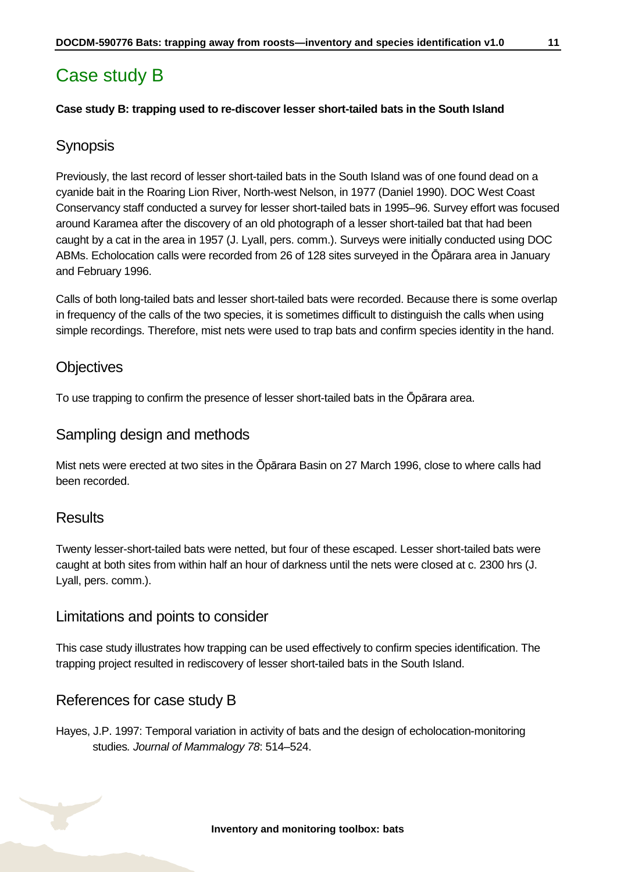### <span id="page-10-0"></span>Case study B

#### **Case study B: trapping used to re-discover lesser short-tailed bats in the South Island**

### **Synopsis**

Previously, the last record of lesser short-tailed bats in the South Island was of one found dead on a cyanide bait in the Roaring Lion River, North-west Nelson, in 1977 (Daniel 1990). DOC West Coast Conservancy staff conducted a survey for lesser short-tailed bats in 1995–96. Survey effort was focused around Karamea after the discovery of an old photograph of a lesser short-tailed bat that had been caught by a cat in the area in 1957 (J. Lyall, pers. comm.). Surveys were initially conducted using DOC ABMs. Echolocation calls were recorded from 26 of 128 sites surveyed in the Ōpārara area in January and February 1996.

Calls of both long-tailed bats and lesser short-tailed bats were recorded. Because there is some overlap in frequency of the calls of the two species, it is sometimes difficult to distinguish the calls when using simple recordings. Therefore, mist nets were used to trap bats and confirm species identity in the hand.

#### **Objectives**

To use trapping to confirm the presence of lesser short-tailed bats in the Ōpārara area.

#### Sampling design and methods

Mist nets were erected at two sites in the Ōpārara Basin on 27 March 1996, close to where calls had been recorded.

#### **Results**

Twenty lesser-short-tailed bats were netted, but four of these escaped. Lesser short-tailed bats were caught at both sites from within half an hour of darkness until the nets were closed at c. 2300 hrs (J. Lyall, pers. comm.).

#### Limitations and points to consider

This case study illustrates how trapping can be used effectively to confirm species identification. The trapping project resulted in rediscovery of lesser short-tailed bats in the South Island.

#### References for case study B

Hayes, J.P. 1997: Temporal variation in activity of bats and the design of echolocation-monitoring studies*. Journal of Mammalogy 78*: 514–524.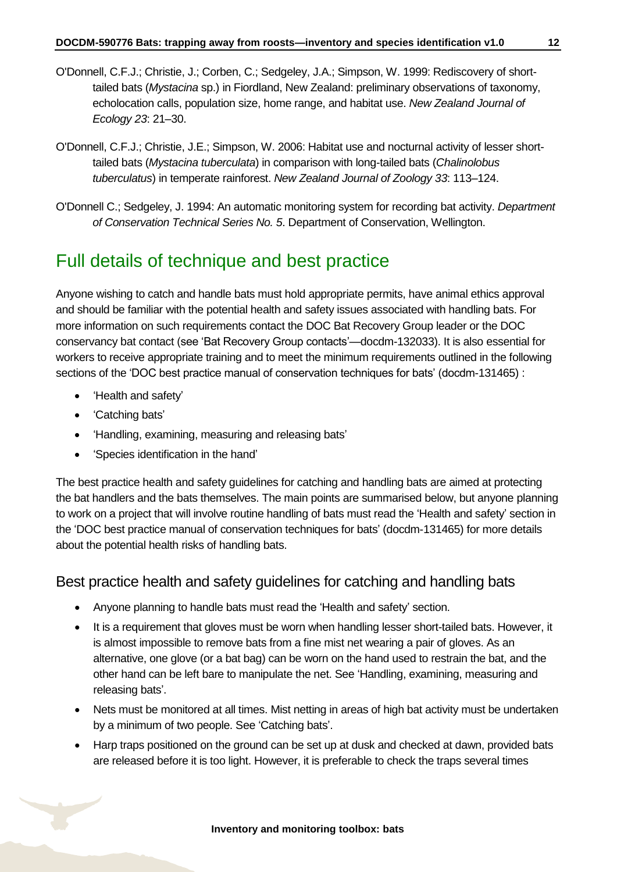- O'Donnell, C.F.J.; Christie, J.; Corben, C.; Sedgeley, J.A.; Simpson, W. 1999: Rediscovery of shorttailed bats (*Mystacina* sp.) in Fiordland, New Zealand: preliminary observations of taxonomy, echolocation calls, population size, home range, and habitat use. *New Zealand Journal of Ecology 23*: 21–30.
- O'Donnell, C.F.J.; Christie, J.E.; Simpson, W. 2006: Habitat use and nocturnal activity of lesser shorttailed bats (*Mystacina tuberculata*) in comparison with long-tailed bats (*Chalinolobus tuberculatus*) in temperate rainforest. *New Zealand Journal of Zoology 33*: 113–124.
- O'Donnell C.; Sedgeley, J. 1994: An automatic monitoring system for recording bat activity. *Department of Conservation Technical Series No. 5*. Department of Conservation, Wellington.

### <span id="page-11-0"></span>Full details of technique and best practice

Anyone wishing to catch and handle bats must hold appropriate permits, have animal ethics approval and should be familiar with the potential health and safety issues associated with handling bats. For more information on such requirements contact the DOC Bat Recovery Group leader or the DOC conservancy bat contact (see 'Bat Recovery Group contacts'—docdm-132033). It is also essential for workers to receive appropriate training and to meet the minimum requirements outlined in the following sections of the 'DOC best practice manual of conservation techniques for bats' (docdm-131465) :

- Health and safety'
- **Catching bats'**
- 'Handling, examining, measuring and releasing bats'
- 'Species identification in the hand'

The best practice health and safety guidelines for catching and handling bats are aimed at protecting the bat handlers and the bats themselves. The main points are summarised below, but anyone planning to work on a project that will involve routine handling of bats must read the 'Health and safety' section in the 'DOC best practice manual of conservation techniques for bats' (docdm-131465) for more details about the potential health risks of handling bats.

### Best practice health and safety guidelines for catching and handling bats

- Anyone planning to handle bats must read the 'Health and safety' section.
- It is a requirement that gloves must be worn when handling lesser short-tailed bats. However, it is almost impossible to remove bats from a fine mist net wearing a pair of gloves. As an alternative, one glove (or a bat bag) can be worn on the hand used to restrain the bat, and the other hand can be left bare to manipulate the net. See 'Handling, examining, measuring and releasing bats'.
- Nets must be monitored at all times. Mist netting in areas of high bat activity must be undertaken by a minimum of two people. See 'Catching bats'.
- Harp traps positioned on the ground can be set up at dusk and checked at dawn, provided bats are released before it is too light. However, it is preferable to check the traps several times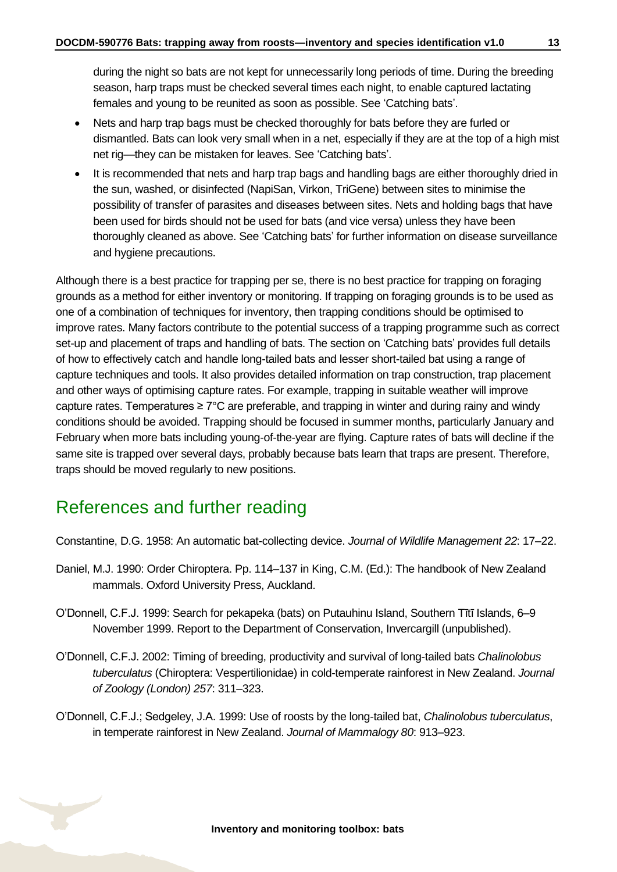during the night so bats are not kept for unnecessarily long periods of time. During the breeding season, harp traps must be checked several times each night, to enable captured lactating females and young to be reunited as soon as possible. See 'Catching bats'.

- Nets and harp trap bags must be checked thoroughly for bats before they are furled or dismantled. Bats can look very small when in a net, especially if they are at the top of a high mist net rig—they can be mistaken for leaves. See 'Catching bats'.
- It is recommended that nets and harp trap bags and handling bags are either thoroughly dried in the sun, washed, or disinfected (NapiSan, Virkon, TriGene) between sites to minimise the possibility of transfer of parasites and diseases between sites. Nets and holding bags that have been used for birds should not be used for bats (and vice versa) unless they have been thoroughly cleaned as above. See 'Catching bats' for further information on disease surveillance and hygiene precautions.

Although there is a best practice for trapping per se, there is no best practice for trapping on foraging grounds as a method for either inventory or monitoring. If trapping on foraging grounds is to be used as one of a combination of techniques for inventory, then trapping conditions should be optimised to improve rates. Many factors contribute to the potential success of a trapping programme such as correct set-up and placement of traps and handling of bats. The section on 'Catching bats' provides full details of how to effectively catch and handle long-tailed bats and lesser short-tailed bat using a range of capture techniques and tools. It also provides detailed information on trap construction, trap placement and other ways of optimising capture rates. For example, trapping in suitable weather will improve capture rates. Temperatures ≥ 7°C are preferable, and trapping in winter and during rainy and windy conditions should be avoided. Trapping should be focused in summer months, particularly January and February when more bats including young-of-the-year are flying. Capture rates of bats will decline if the same site is trapped over several days, probably because bats learn that traps are present. Therefore, traps should be moved regularly to new positions.

### <span id="page-12-0"></span>References and further reading

Constantine, D.G. 1958: An automatic bat-collecting device. *Journal of Wildlife Management 22*: 17–22.

- Daniel, M.J. 1990: Order Chiroptera. Pp. 114–137 in King, C.M. (Ed.): The handbook of New Zealand mammals. Oxford University Press, Auckland.
- O'Donnell, C.F.J. 1999: Search for pekapeka (bats) on Putauhinu Island, Southern Tītī Islands, 6–9 November 1999. Report to the Department of Conservation, Invercargill (unpublished).
- O'Donnell, C.F.J. 2002: Timing of breeding, productivity and survival of long-tailed bats *Chalinolobus tuberculatus* (Chiroptera: Vespertilionidae) in cold-temperate rainforest in New Zealand. *Journal of Zoology (London) 257*: 311–323.
- O'Donnell, C.F.J.; Sedgeley, J.A. 1999: Use of roosts by the long-tailed bat, *Chalinolobus tuberculatus*, in temperate rainforest in New Zealand. *Journal of Mammalogy 80*: 913–923.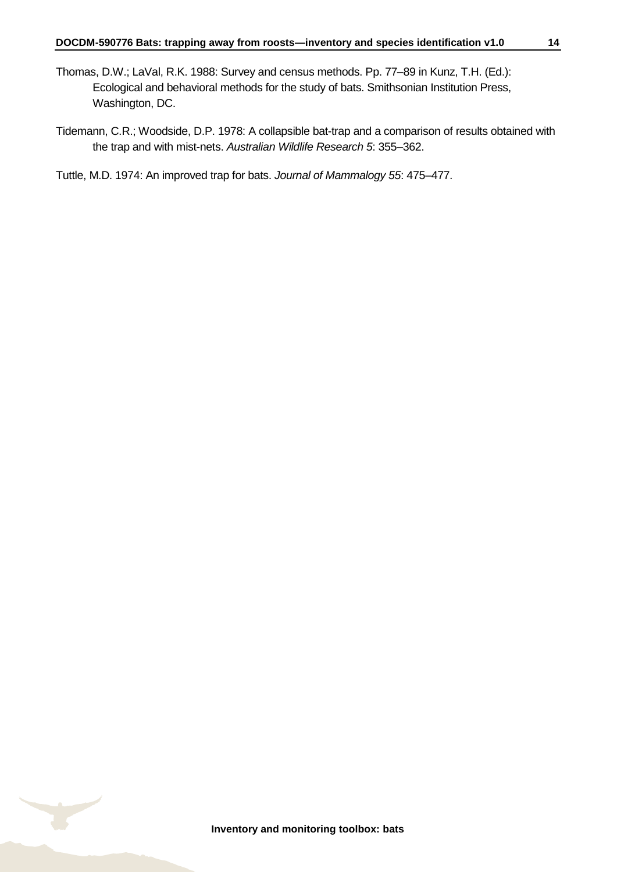- Thomas, D.W.; LaVal, R.K. 1988: Survey and census methods. Pp. 77–89 in Kunz, T.H. (Ed.): Ecological and behavioral methods for the study of bats. Smithsonian Institution Press, Washington, DC.
- Tidemann, C.R.; Woodside, D.P. 1978: A collapsible bat-trap and a comparison of results obtained with the trap and with mist-nets. *Australian Wildlife Research 5*: 355–362.

Tuttle, M.D. 1974: An improved trap for bats. *Journal of Mammalogy 55*: 475–477.